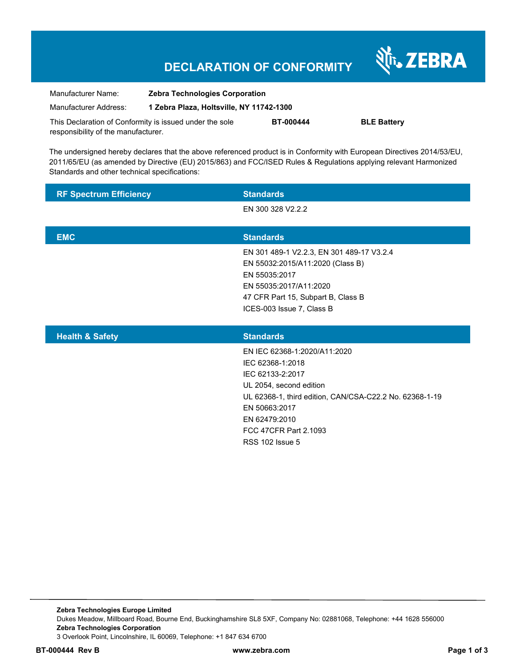## **DECLARATION OF CONFORMITY**

Nr. ZEBRA

| Manufacturer Name:                                      | <b>Zebra Technologies Corporation</b>    |                  |                    |
|---------------------------------------------------------|------------------------------------------|------------------|--------------------|
| Manufacturer Address:                                   | 1 Zebra Plaza, Holtsville, NY 11742-1300 |                  |                    |
| This Declaration of Conformity is issued under the sole |                                          | <b>BT-000444</b> | <b>BLE Battery</b> |
| responsibility of the manufacturer.                     |                                          |                  |                    |

The undersigned hereby declares that the above referenced product is in Conformity with European Directives 2014/53/EU, 2011/65/EU (as amended by Directive (EU) 2015/863) and FCC/ISED Rules & Regulations applying relevant Harmonized Standards and other technical specifications:

| <b>RF Spectrum Efficiency</b> | <b>Standards</b>                                                                                                                                                                                                                                |
|-------------------------------|-------------------------------------------------------------------------------------------------------------------------------------------------------------------------------------------------------------------------------------------------|
|                               | EN 300 328 V2.2.2                                                                                                                                                                                                                               |
|                               |                                                                                                                                                                                                                                                 |
| <b>EMC</b>                    | <b>Standards</b>                                                                                                                                                                                                                                |
|                               | EN 301 489-1 V2.2.3, EN 301 489-17 V3.2.4<br>EN 55032:2015/A11:2020 (Class B)<br>EN 55035:2017<br>EN 55035:2017/A11:2020<br>47 CFR Part 15, Subpart B, Class B<br>ICES-003 Issue 7, Class B                                                     |
| <b>Health &amp; Safety</b>    | <b>Standards</b>                                                                                                                                                                                                                                |
|                               | EN IEC 62368-1:2020/A11:2020<br>IEC 62368-1:2018<br>IEC 62133-2:2017<br>UL 2054, second edition<br>UL 62368-1, third edition, CAN/CSA-C22.2 No. 62368-1-19<br>EN 50663:2017<br>EN 62479:2010<br>FCC 47CFR Part 2.1093<br><b>RSS 102 Issue 5</b> |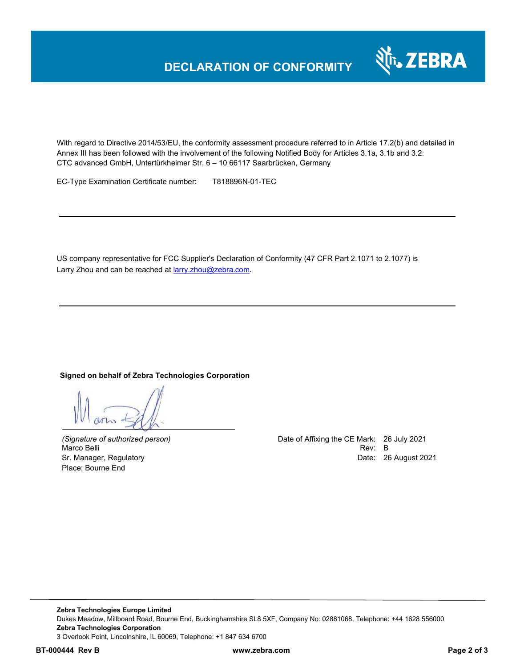

With regard to Directive 2014/53/EU, the conformity assessment procedure referred to in Article 17.2(b) and detailed in Annex III has been followed with the involvement of the following Notified Body for Articles 3.1a, 3.1b and 3.2: CTC advanced GmbH, Untertürkheimer Str. 6 – 10 66117 Saarbrücken, Germany

EC-Type Examination Certificate number: T818896N-01-TEC

US company representative for FCC Supplier's Declaration of Conformity (47 CFR Part 2.1071 to 2.1077) is Larry Zhou and can be reached at larry.zhou@zebra.com.

### **Signed on behalf of Zebra Technologies Corporation**

Marco Belli Place: Bourne End

*(Signature of authorized person)* Date of Affixing the CE Mark: 26 July 2021 Sr. Manager, Regulatory **Date: 26 August 2021**